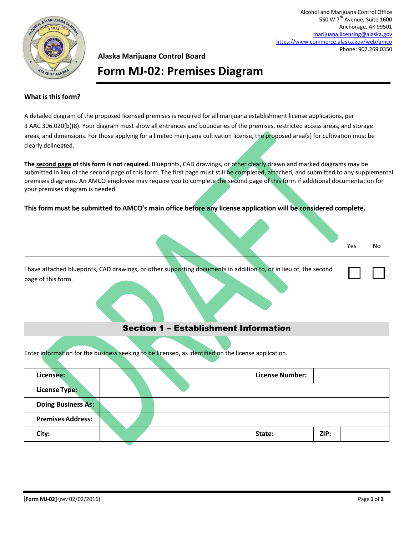

Alcohol and Marijuana Control Office 550 W 7<sup>th</sup> Avenue, Suite 1600 Anchorage, AK 99501 [marijuana.licensing@alaska.gov](mailto:marijuana.licensing@alaska.gov) <https://www.commerce.alaska.gov/web/amco> Phone: 907.269.0350

## **Alaska Marijuana Control Board Form MJ-02: Premises Diagram**

## **What is this form?**

A detailed diagram of the proposed licensed premises is required for all marijuana establishment license applications, per 3 AAC 306.020(b)(8). Your diagram must show all entrances and boundaries of the premises, restricted access areas, and storage areas, and dimensions. For those applying for a limited marijuana cultivation license, the proposed area(s) for cultivation must be clearly delineated.

**The second page of this form is not required.** Blueprints, CAD drawings, or other clearly drawn and marked diagrams may be submitted in lieu of the second page of this form. The first page must still be completed, attached, and submitted to any supplemental premises diagrams. An AMCO employee may require you to complete the second page of this form if additional documentation for your premises diagram is needed.

**This form must be submitted to AMCO's main office before any license application will be considered complete.**

| Yes | No |
|-----|----|

☐ ☐

I have attached blueprints, CAD drawings, or other supporting documents in addition to, or in lieu of, the second page of this form.

## Section 1 – Establishment Information

Enter information for the business seeking to be licensed, as identified on the license application.

| Licensee:                 |  |        | <b>License Number:</b> |
|---------------------------|--|--------|------------------------|
| <b>License Type:</b>      |  |        |                        |
| <b>Doing Business As:</b> |  |        |                        |
| <b>Premises Address:</b>  |  |        |                        |
| City:                     |  | State: | ZIP:                   |